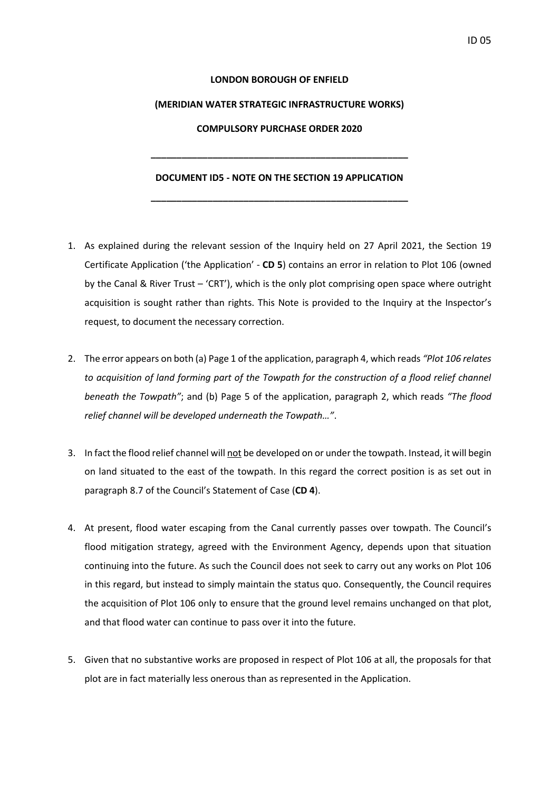## **LONDON BOROUGH OF ENFIELD**

#### **(MERIDIAN WATER STRATEGIC INFRASTRUCTURE WORKS)**

## **COMPULSORY PURCHASE ORDER 2020**

**\_\_\_\_\_\_\_\_\_\_\_\_\_\_\_\_\_\_\_\_\_\_\_\_\_\_\_\_\_\_\_\_\_\_\_\_\_\_\_\_\_\_\_\_\_\_\_\_\_\_**

#### **DOCUMENT ID5 - NOTE ON THE SECTION 19 APPLICATION**

**\_\_\_\_\_\_\_\_\_\_\_\_\_\_\_\_\_\_\_\_\_\_\_\_\_\_\_\_\_\_\_\_\_\_\_\_\_\_\_\_\_\_\_\_\_\_\_\_\_\_**

- 1. As explained during the relevant session of the Inquiry held on 27 April 2021, the Section 19 Certificate Application ('the Application' - **CD 5**) contains an error in relation to Plot 106 (owned by the Canal & River Trust – 'CRT'), which is the only plot comprising open space where outright acquisition is sought rather than rights. This Note is provided to the Inquiry at the Inspector's request, to document the necessary correction.
- 2. The error appears on both (a) Page 1 of the application, paragraph 4, which reads *"Plot 106 relates to acquisition of land forming part of the Towpath for the construction of a flood relief channel beneath the Towpath"*; and (b) Page 5 of the application, paragraph 2, which reads *"The flood relief channel will be developed underneath the Towpath…"*.
- 3. In fact the flood relief channel will not be developed on or under the towpath. Instead, it will begin on land situated to the east of the towpath. In this regard the correct position is as set out in paragraph 8.7 of the Council's Statement of Case (**CD 4**).
- 4. At present, flood water escaping from the Canal currently passes over towpath. The Council's flood mitigation strategy, agreed with the Environment Agency, depends upon that situation continuing into the future. As such the Council does not seek to carry out any works on Plot 106 in this regard, but instead to simply maintain the status quo. Consequently, the Council requires the acquisition of Plot 106 only to ensure that the ground level remains unchanged on that plot, and that flood water can continue to pass over it into the future.
- 5. Given that no substantive works are proposed in respect of Plot 106 at all, the proposals for that plot are in fact materially less onerous than as represented in the Application.